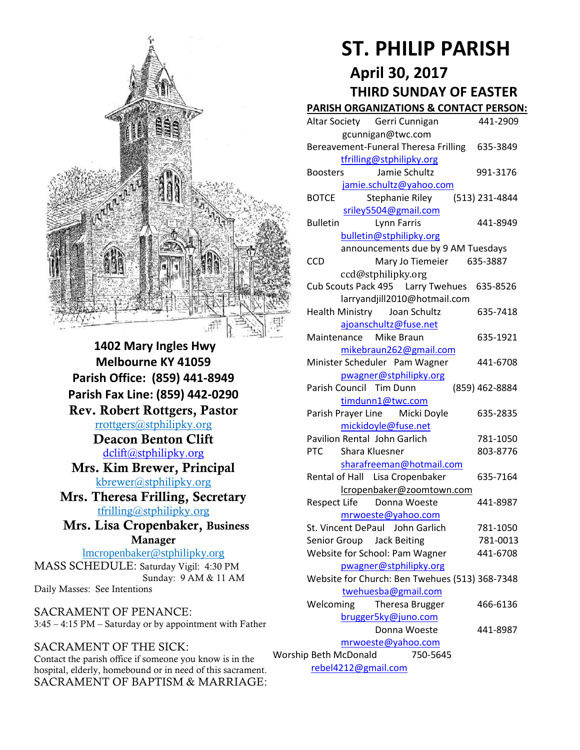

**1402 Mary Ingles Hwy Melbourne KY 41059 Parish Office: (859) 441-8949 Parish Fax Line: (859) 442-0290 Rev. Robert Rottgers, Pastor**  [rrottgers@stphilipky.org](mailto:rrottgers@stphilipky.org) **Deacon Benton Clift**  [dclift@stphilipky.org](mailto:dclift@stphilipky.org) **Mrs. Kim Brewer, Principal**  [kbrewer@stphilipky.org](mailto:kbrewer@stphilipky.org) **Mrs. Theresa Frilling, Secretary**  [tfrilling@stphilipky.org](mailto:tfrilling@stphilipky.org) **Mrs. Lisa Cropenbaker, Business Manager**  lmcropenbaker@stphilipky.org

MASS SCHEDULE: Saturday Vigil: 4:30 PM Sunday: 9 AM & 11 AM Daily Masses: See Intentions

SACRAMENT OF PENANCE: 3:45 – 4:15 PM – Saturday or by appointment with Father

#### SACRAMENT OF THE SICK:

Contact the parish office if someone you know is in the hospital, elderly, homebound or in need of this sacrament. SACRAMENT OF BAPTISM & MARRIAGE:

# **ST. PHILIP PARISH**

# **April 30, 2017 THIRD SUNDAY OF EASTER**

#### **PARISH ORGANIZATIONS & CONTACT PERSON:**

|  | Altar Society Gerri Cunnigan                   | 441-2909       |
|--|------------------------------------------------|----------------|
|  | gcunnigan@twc.com                              |                |
|  | Bereavement-Funeral Theresa Frilling 635-3849  |                |
|  | tfrilling@stphilipky.org                       |                |
|  | Jamie Schultz<br><b>Boosters</b>               | 991-3176       |
|  | jamie.schultz@yahoo.com                        |                |
|  | <b>BOTCE</b><br>Stephanie Riley                | (513) 231-4844 |
|  | sriley5504@gmail.com                           |                |
|  | <b>Bulletin</b><br>Lynn Farris                 | 441-8949       |
|  | bulletin@stphilipky.org                        |                |
|  | announcements due by 9 AM Tuesdays             |                |
|  | <b>CCD</b><br>Mary Jo Tiemeier 635-3887        |                |
|  | ccd@stphilipky.org                             |                |
|  | Cub Scouts Pack 495   Larry Twehues            | 635-8526       |
|  | larryandjill2010@hotmail.com                   |                |
|  | <b>Health Ministry</b><br>Joan Schultz         | 635-7418       |
|  | ajoanschultz@fuse.net                          |                |
|  | Maintenance Mike Braun                         | 635-1921       |
|  | mikebraun262@gmail.com                         |                |
|  | Minister Scheduler Pam Wagner                  | 441-6708       |
|  | pwagner@stphilipky.org                         |                |
|  | Parish Council Tim Dunn                        | (859) 462-8884 |
|  | timdunn1@twc.com                               |                |
|  | Parish Prayer Line<br>Micki Doyle              | 635-2835       |
|  | mickidoyle@fuse.net                            |                |
|  | Pavilion Rental John Garlich                   | 781-1050       |
|  | <b>PTC</b><br>Shara Kluesner                   | 803-8776       |
|  | sharafreeman@hotmail.com                       |                |
|  | Rental of Hall Lisa Cropenbaker                | 635-7164       |
|  | lcropenbaker@zoomtown.com                      |                |
|  | Respect Life Donna Woeste                      | 441-8987       |
|  | mrwoeste@yahoo.com                             |                |
|  | St. Vincent DePaul John Garlich                | 781-1050       |
|  | Senior Group Jack Beiting                      | 781-0013       |
|  | Website for School: Pam Wagner                 | 441-6708       |
|  | pwagner@stphilipky.org                         |                |
|  | Website for Church: Ben Twehues (513) 368-7348 |                |
|  | twehuesba@gmail.com                            |                |
|  | Welcoming<br>Theresa Brugger                   | 466-6136       |
|  | brugger5ky@juno.com                            |                |
|  | Donna Woeste                                   | 441-8987       |
|  | mrwoeste@yahoo.com                             |                |
|  | Worship Beth McDonald<br>750-5645              |                |
|  | rebel4212@gmail.com                            |                |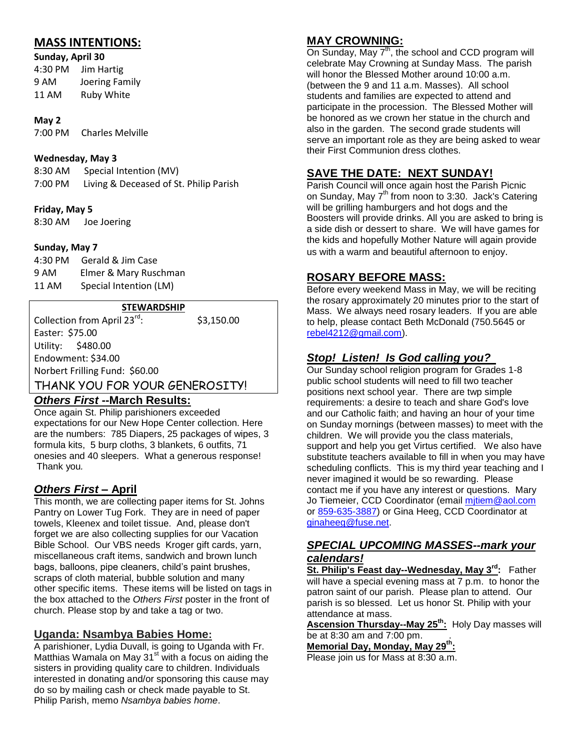# **MASS INTENTIONS:**

**Sunday, April 30** 4:30 PM Jim Hartig 9 AM Joering Family 11 AM Ruby White

#### **May 2**

7:00 PM Charles Melville

#### **Wednesday, May 3**

8:30 AM Special Intention (MV) 7:00 PM Living & Deceased of St. Philip Parish

#### **Friday, May 5**

8:30 AM Joe Joering

#### **Sunday, May 7**

| 4:30 PM | Gerald & Jim Case      |
|---------|------------------------|
| 9 AM    | Elmer & Mary Ruschman  |
| 11 AM   | Special Intention (LM) |

#### **STEWARDSHIP**

Collection from April 23<sup>rd</sup>: : \$3,150.00 Easter: \$75.00 Utility: \$480.00 Endowment: \$34.00 Norbert Frilling Fund: \$60.00 THANK YOU FOR YOUR GENEROSITY!

# *Others First* **--March Results:**

Once again St. Philip parishioners exceeded expectations for our New Hope Center collection. Here are the numbers: 785 Diapers, 25 packages of wipes, 3 formula kits, 5 burp cloths, 3 blankets, 6 outfits, 71 onesies and 40 sleepers. What a generous response! Thank you*.* 

#### *Others First* **– April**

This month, we are collecting paper items for St. Johns Pantry on Lower Tug Fork. They are in need of paper towels, Kleenex and toilet tissue. And, please don't forget we are also collecting supplies for our Vacation Bible School. Our VBS needs Kroger gift cards, yarn, miscellaneous craft items, sandwich and brown lunch bags, balloons, pipe cleaners, child's paint brushes, scraps of cloth material, bubble solution and many other specific items. These items will be listed on tags in the box attached to the *Others First* poster in the front of church. Please stop by and take a tag or two.

#### **Uganda: Nsambya Babies Home:**

A parishioner, Lydia Duvall, is going to Uganda with Fr. Matthias Wamala on May  $31<sup>st</sup>$  with a focus on aiding the sisters in providing quality care to children. Individuals interested in donating and/or sponsoring this cause may do so by mailing cash or check made payable to St. Philip Parish, memo *Nsambya babies home*.

#### **MAY CROWNING:**

On Sunday, May 7<sup>th</sup>, the school and CCD program will celebrate May Crowning at Sunday Mass. The parish will honor the Blessed Mother around 10:00 a.m. (between the 9 and 11 a.m. Masses). All school students and families are expected to attend and participate in the procession. The Blessed Mother will be honored as we crown her statue in the church and also in the garden. The second grade students will serve an important role as they are being asked to wear their First Communion dress clothes.

#### **SAVE THE DATE: NEXT SUNDAY!**

Parish Council will once again host the Parish Picnic on Sunday, May 7<sup>th</sup> from noon to 3:30. Jack's Catering will be grilling hamburgers and hot dogs and the Boosters will provide drinks. All you are asked to bring is a side dish or dessert to share. We will have games for the kids and hopefully Mother Nature will again provide us with a warm and beautiful afternoon to enjoy.

#### **ROSARY BEFORE MASS:**

Before every weekend Mass in May, we will be reciting the rosary approximately 20 minutes prior to the start of Mass. We always need rosary leaders. If you are able to help, please contact Beth McDonald (750.5645 or [rebel4212@gmail.com\)](mailto:rebel4212@gmail.com).

#### *Stop! Listen! Is God calling you?*

Our Sunday school religion program for Grades 1-8 public school students will need to fill two teacher positions next school year. There are twp simple requirements: a desire to teach and share God's love and our Catholic faith; and having an hour of your time on Sunday mornings (between masses) to meet with the children. We will provide you the class materials, support and help you get Virtus certified. We also have substitute teachers available to fill in when you may have scheduling conflicts. This is my third year teaching and I never imagined it would be so rewarding. Please contact me if you have any interest or questions. Mary Jo Tiemeier, CCD Coordinator (email mitiem@aol.com or [859-635-3887\)](tel:%28859%29%20635-3887) or Gina Heeg, CCD Coordinator at [ginaheeg@fuse.net.](mailto:ginaheeg@fuse.net)

#### *SPECIAL UPCOMING MASSES--mark your calendars!*

**St. Philip's Feast day--Wednesday, May 3rd:** Father will have a special evening mass at 7 p.m. to honor the patron saint of our parish. Please plan to attend. Our parish is so blessed. Let us honor St. Philip with your attendance at mass.

**Ascension Thursday--May 25th:** Holy Day masses will be at 8:30 am and 7:00 pm. .

**Memorial Day, Monday, May 29th:**

Please join us for Mass at 8:30 a.m.